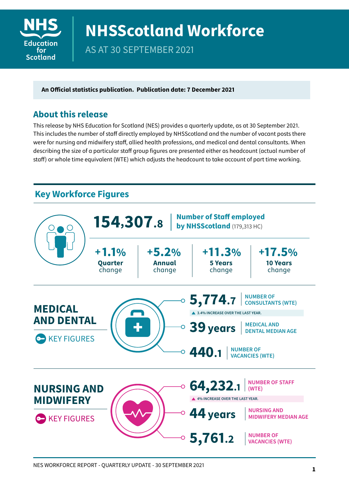

# **NHSScotland Workforce**

AS AT 30 SEPTEMBER 2021

**An Official statistics publication. Publication date: 7 December 2021**

#### **About this release**

This release by NHS Education for Scotland (NES) provides a quarterly update, as at 30 September 2021. This includes the number of staff directly employed by NHSScotland and the number of vacant posts there were for nursing and midwifery staff, allied health professions, and medical and dental consultants. When describing the size of a particular staff group figures are presented either as headcount (actual number of staff) or whole time equivalent (WTE) which adjusts the headcount to take account of part time working.

## **Key Workforce Figures**

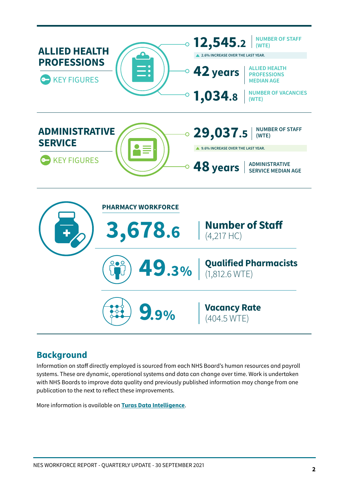

#### **Background**

Information on staff directly employed is sourced from each NHS Board's human resources and payroll systems. These are dynamic, operational systems and data can change over time. Work is undertaken with NHS Boards to improve data quality and previously published information may change from one publication to the next to reflect these improvements.

More information is available on **[Turas Data Intelligence](https://turasdata.nes.nhs.scot/)**.